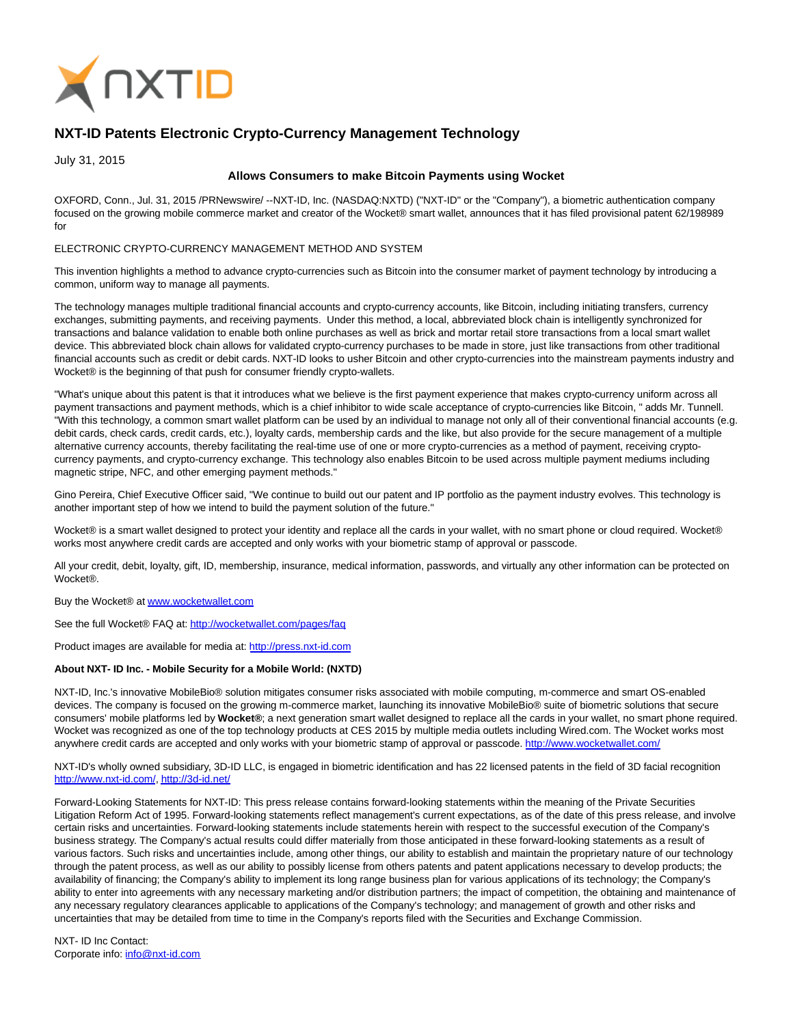

## **NXT-ID Patents Electronic Crypto-Currency Management Technology**

July 31, 2015

## **Allows Consumers to make Bitcoin Payments using Wocket**

OXFORD, Conn., Jul. 31, 2015 /PRNewswire/ --NXT-ID, Inc. (NASDAQ:NXTD) ("NXT-ID" or the "Company"), a biometric authentication company focused on the growing mobile commerce market and creator of the Wocket® smart wallet, announces that it has filed provisional patent 62/198989 for

## ELECTRONIC CRYPTO-CURRENCY MANAGEMENT METHOD AND SYSTEM

This invention highlights a method to advance crypto-currencies such as Bitcoin into the consumer market of payment technology by introducing a common, uniform way to manage all payments.

The technology manages multiple traditional financial accounts and crypto-currency accounts, like Bitcoin, including initiating transfers, currency exchanges, submitting payments, and receiving payments. Under this method, a local, abbreviated block chain is intelligently synchronized for transactions and balance validation to enable both online purchases as well as brick and mortar retail store transactions from a local smart wallet device. This abbreviated block chain allows for validated crypto-currency purchases to be made in store, just like transactions from other traditional financial accounts such as credit or debit cards. NXT-ID looks to usher Bitcoin and other crypto-currencies into the mainstream payments industry and Wocket® is the beginning of that push for consumer friendly crypto-wallets.

"What's unique about this patent is that it introduces what we believe is the first payment experience that makes crypto-currency uniform across all payment transactions and payment methods, which is a chief inhibitor to wide scale acceptance of crypto-currencies like Bitcoin, " adds Mr. Tunnell. "With this technology, a common smart wallet platform can be used by an individual to manage not only all of their conventional financial accounts (e.g. debit cards, check cards, credit cards, etc.), loyalty cards, membership cards and the like, but also provide for the secure management of a multiple alternative currency accounts, thereby facilitating the real-time use of one or more crypto-currencies as a method of payment, receiving cryptocurrency payments, and crypto-currency exchange. This technology also enables Bitcoin to be used across multiple payment mediums including magnetic stripe, NFC, and other emerging payment methods."

Gino Pereira, Chief Executive Officer said, "We continue to build out our patent and IP portfolio as the payment industry evolves. This technology is another important step of how we intend to build the payment solution of the future."

Wocket® is a smart wallet designed to protect your identity and replace all the cards in your wallet, with no smart phone or cloud required. Wocket® works most anywhere credit cards are accepted and only works with your biometric stamp of approval or passcode.

All your credit, debit, loyalty, gift, ID, membership, insurance, medical information, passwords, and virtually any other information can be protected on Wocket®.

Buy the Wocket® a[t www.wocketwallet.com](http://www.wocketwallet.com/)

See the full Wocket® FAQ at:<http://wocketwallet.com/pages/faq>

Product images are available for media at: [http://press.nxt-id.com](http://press.nxt-id.com/)

## **About NXT- ID Inc. - Mobile Security for a Mobile World: (NXTD)**

NXT-ID, Inc.'s innovative MobileBio® solution mitigates consumer risks associated with mobile computing, m-commerce and smart OS-enabled devices. The company is focused on the growing m-commerce market, launching its innovative MobileBio® suite of biometric solutions that secure consumers' mobile platforms led by **Wocket®**; a next generation smart wallet designed to replace all the cards in your wallet, no smart phone required. Wocket was recognized as one of the top technology products at CES 2015 by multiple media outlets including Wired.com. The Wocket works most anywhere credit cards are accepted and only works with your biometric stamp of approval or passcode.<http://www.wocketwallet.com/>

NXT-ID's wholly owned subsidiary, 3D-ID LLC, is engaged in biometric identification and has 22 licensed patents in the field of 3D facial recognition [http://www.nxt-id.com/,](http://www.nxt-id.com/)<http://3d-id.net/>

Forward-Looking Statements for NXT-ID: This press release contains forward-looking statements within the meaning of the Private Securities Litigation Reform Act of 1995. Forward-looking statements reflect management's current expectations, as of the date of this press release, and involve certain risks and uncertainties. Forward-looking statements include statements herein with respect to the successful execution of the Company's business strategy. The Company's actual results could differ materially from those anticipated in these forward-looking statements as a result of various factors. Such risks and uncertainties include, among other things, our ability to establish and maintain the proprietary nature of our technology through the patent process, as well as our ability to possibly license from others patents and patent applications necessary to develop products; the availability of financing; the Company's ability to implement its long range business plan for various applications of its technology; the Company's ability to enter into agreements with any necessary marketing and/or distribution partners; the impact of competition, the obtaining and maintenance of any necessary regulatory clearances applicable to applications of the Company's technology; and management of growth and other risks and uncertainties that may be detailed from time to time in the Company's reports filed with the Securities and Exchange Commission.

NXT- ID Inc Contact: Corporate info: [info@nxt-id.com](mailto:info@nxt-id.com)